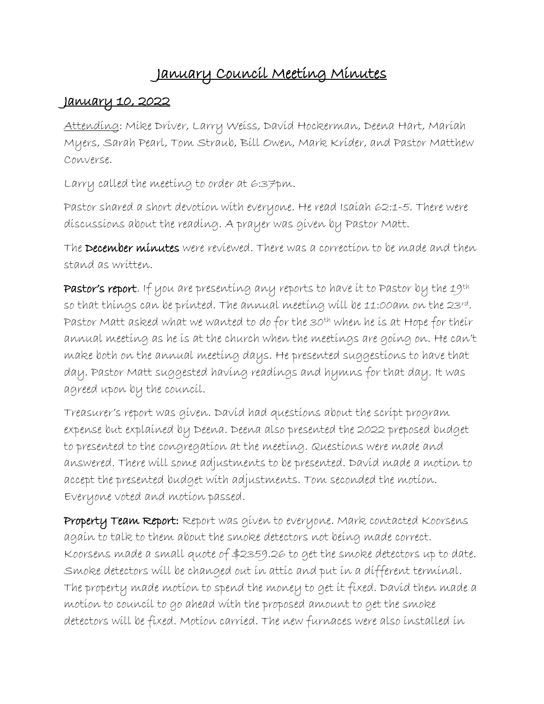# January Council Meeting Minutes

## January 10, 2022

Attending: Mike Driver, Larry Weiss, David Hockerman, Deena Hart, Mariah Myers, Sarah Pearl, Tom Straub, Bill Owen, Mark Krider, and Pastor Matthew Converse.

Larry called the meeting to order at 6:37pm.

Pastor shared a short devotion with everyone. He read Isaiah 62:1-5. There were discussions about the reading. A prayer was given by Pastor Matt.

The December minutes were reviewed. There was a correction to be made and then stand as written.

Pastor's report. If you are presenting any reports to have it to Pastor by the 19th so that things can be printed. The annual meeting will be 11:00am on the 23rd. Pastor Matt asked what we wanted to do for the 30<sup>th</sup> when he is at Hope for their annual meeting as he is at the church when the meetings are going on. He can't make both on the annual meeting days. He presented suggestions to have that day. Pastor Matt suggested having readings and hymns for that day. It was agreed upon by the council.

Treasurer's report was given. David had questions about the script program expense but explained by Deena. Deena also presented the 2022 preposed budget to presented to the congregation at the meeting. Questions were made and answered. There will some adjustments to be presented. David made a motion to accept the presented budget with adjustments. Tom seconded the motion. Everyone voted and motion passed.

Property Team Report: Report was given to everyone. Mark contacted Koorsens again to talk to them about the smoke detectors not being made correct. Koorsens made a small quote of \$2359.26 to get the smoke detectors up to date. Smoke detectors will be changed out in attic and put in a different terminal. The property made motion to spend the money to get it fixed. David then made a motion to council to go ahead with the proposed amount to get the smoke detectors will be fixed. Motion carried. The new furnaces were also installed in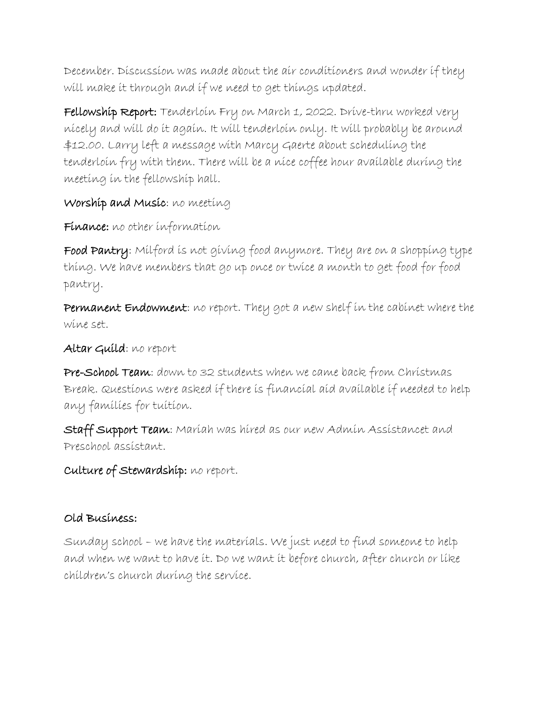December. Discussion was made about the air conditioners and wonder if they will make it through and if we need to get things updated.

Fellowship Report: Tenderloin Fry on March 1, 2022. Drive-thru worked very nicely and will do it again. It will tenderloin only. It will probably be around \$12.00. Larry left a message with Marcy Gaerte about scheduling the tenderloin fry with them. There will be a nice coffee hour available during the meeting in the fellowship hall.

## Worship and Music: no meeting

Finance: no other information

Food Pantry: Milford is not giving food anymore. They are on a shopping type thing. We have members that go up once or twice a month to get food for food pantry.

Permanent Endowment: no report. They got a new shelf in the cabinet where the wine set.

#### Altar Guild: no report

Pre-School Team: down to 32 students when we came back from Christmas Break. Questions were asked if there is financial aid available if needed to help any families for tuition.

Staff Support Team: Mariah was hired as our new Admin Assistancet and Preschool assistant.

Culture of Stewardship: no report.

### Old Business:

Sunday school – we have the materials. We just need to find someone to help and when we want to have it. Do we want it before church, after church or like children's church during the service.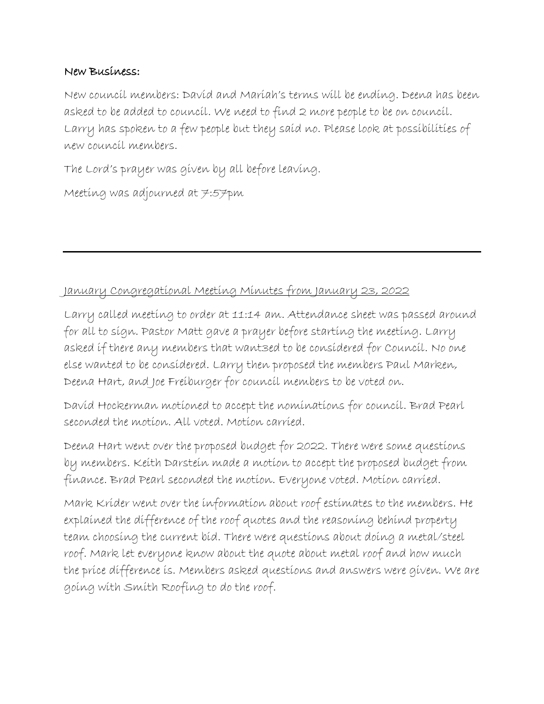#### New Business:

New council members: David and Mariah's terms will be ending. Deena has been asked to be added to council. We need to find 2 more people to be on council. Larry has spoken to a few people but they said no. Please look at possibilities of new council members.

The Lord's prayer was given by all before leaving.

Meeting was adjourned at 7:57pm

#### January Congregational Meeting Minutes from January 23, 2022

Larry called meeting to order at 11:14 am. Attendance sheet was passed around for all to sign. Pastor Matt gave a prayer before starting the meeting. Larry asked if there any members that want3ed to be considered for Council. No one else wanted to be considered. Larry then proposed the members Paul Marken, Deena Hart, and Joe Freiburger for council members to be voted on.

David Hockerman motioned to accept the nominations for council. Brad Pearl seconded the motion. All voted. Motion carried.

Deena Hart went over the proposed budget for 2022. There were some questions by members. Keith Darstein made a motion to accept the proposed budget from finance. Brad Pearl seconded the motion. Everyone voted. Motion carried.

Mark Krider went over the information about roof estimates to the members. He explained the difference of the roof quotes and the reasoning behind property team choosing the current bid. There were questions about doing a metal/steel roof. Mark let everyone know about the quote about metal roof and how much the price difference is. Members asked questions and answers were given. We are going with Smith Roofing to do the roof.